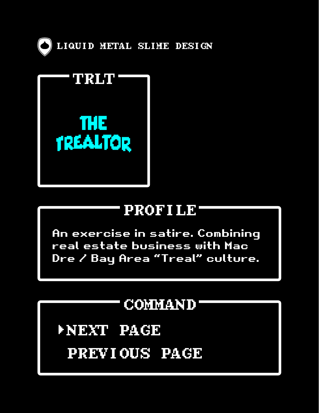



# PROFILE

An exercise in satire. Combining real estate business with Mac Dre / Bay Area "Treal" culture.

### COMMAND

## →NEXT PAGE

PREVIOUS PAGE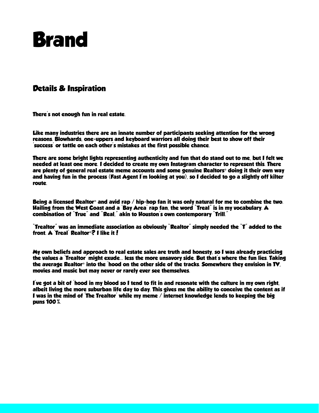

#### **Details & Inspiration**

**There's not enough fun in real estate.** 

**Like many industries there are an innate number of participants seeking attention for the wrong reasons. Blowhards, one-uppers and keyboard warriors all doing their best to show off their 'success' or tattle on each other's mistakes at the first possible chance.** 

**There are some bright lights representing authenticity and fun that do stand out to me, but I felt we needed at least one more. I decided to create my own Instagram character to represent this. There are plenty of general real estate meme accounts and some genuine Realtors**® **doing it their own way and having fun in the process (Fast Agent I'm looking at you), so I decided to go a slightly off kilter route.** 

**Being a licensed Realtor**® **and avid rap / hip-hop fan it was only natural for me to combine the two. Hailing from the West Coast and a 'Bay Area' rap fan, the word "Treal" is in my vocabulary. A combination of "True" and "Real," akin to Houston's own contemporary "Trill."** 

**"Trealtor" was an immediate association as obviously "Realtor" simply needed the "T" added to the front. A 'Treal' Realtor**®**? I like it!** 

**My own beliefs and approach to real estate sales are truth and honesty, so I was already practicing the values a 'Trealtor' might exude... less the more unsavory side. But that's where the fun lies. Taking the average Realtor**® **into the 'hood on the other side of the tracks. Somewhere they envision in TV, movies and music but may never or rarely ever see themselves.** 

**I've got a bit of 'hood in my blood so I tend to fit in and resonate with the culture in my own right, albeit living the more suburban life day to day. This gives me the ability to conceive the content as if I was in the mind of 'The Trealtor' while my meme / internet knowledge lends to keeping the big puns 100%.**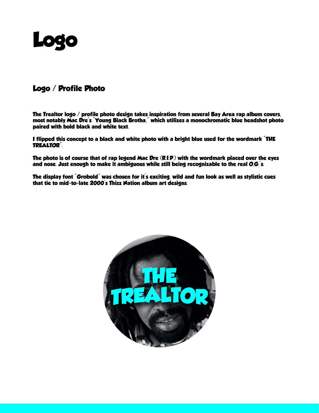

#### **Logo / Profile Photo**

**The Trealtor logo / profile photo design takes inspiration from several Bay Area rap album covers, most notably Mac Dre's "Young Black Brotha," which utilizes a monochromatic blue headshot photo paired with bold black and white text.**

**I flipped this concept to a black and white photo with a bright blue used for the wordmark "THE TREALTOR".**

**The photo is of course that of rap legend Mac Dre (R.I.P.) with the wordmark placed over the eyes and nose. Just enough to make it ambiguous while still being recognizable to the real O.G.'s.**

**The display font "Grobold" was chosen for it's exciting, wild and fun look as well as stylistic cues that tie to mid-to-late 2000's Thizz Nation album art designs.**